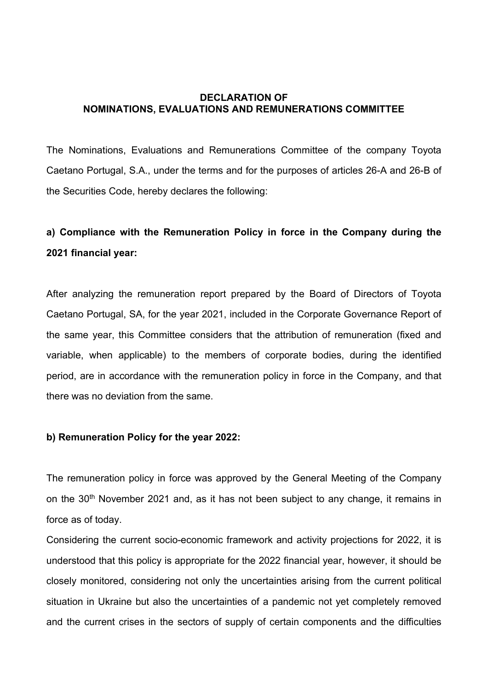## DECLARATION OF NOMINATIONS, EVALUATIONS AND REMUNERATIONS COMMITTEE

The Nominations, Evaluations and Remunerations Committee of the company Toyota Caetano Portugal, S.A., under the terms and for the purposes of articles 26-A and 26-B of the Securities Code, hereby declares the following:

## a) Compliance with the Remuneration Policy in force in the Company during the 2021 financial year:

After analyzing the remuneration report prepared by the Board of Directors of Toyota Caetano Portugal, SA, for the year 2021, included in the Corporate Governance Report of the same year, this Committee considers that the attribution of remuneration (fixed and variable, when applicable) to the members of corporate bodies, during the identified period, are in accordance with the remuneration policy in force in the Company, and that there was no deviation from the same.

## b) Remuneration Policy for the year 2022:

The remuneration policy in force was approved by the General Meeting of the Company on the 30<sup>th</sup> November 2021 and, as it has not been subiect to any change, it remains in force as of today.

Considering the current socio-economic framework and activity projections for 2022, it is understood that this policy is appropriate for the 2022 financial year, however, it should be closely monitored, considering not only the uncertainties arising from the current political situation in Ukraine but also the uncertainties of a pandemic not yet completely removed and the current crises in the sectors of supply of certain components and the difficulties